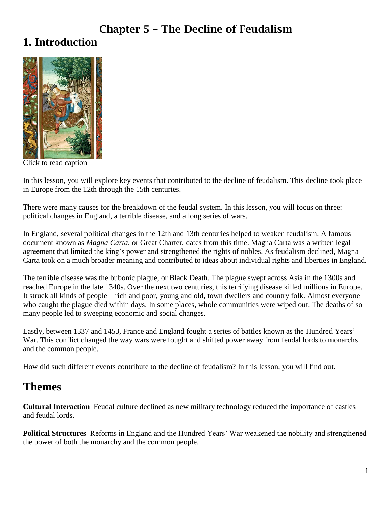### **1. Introduction**



Click to read caption

In this lesson, you will explore key events that contributed to the decline of feudalism. This decline took place in Europe from the 12th through the 15th centuries.

There were many causes for the breakdown of the feudal system. In this lesson, you will focus on three: political changes in England, a terrible disease, and a long series of wars.

In England, several political changes in the 12th and 13th centuries helped to weaken feudalism. A famous document known as *Magna Carta*, or Great Charter, dates from this time. Magna Carta was a written legal agreement that limited the king's power and strengthened the rights of nobles. As feudalism declined, Magna Carta took on a much broader meaning and contributed to ideas about individual rights and liberties in England.

The terrible disease was the bubonic plague, or Black Death. The plague swept across Asia in the 1300s and reached Europe in the late 1340s. Over the next two centuries, this terrifying disease killed millions in Europe. It struck all kinds of people—rich and poor, young and old, town dwellers and country folk. Almost everyone who caught the plague died within days. In some places, whole communities were wiped out. The deaths of so many people led to sweeping economic and social changes.

Lastly, between 1337 and 1453, France and England fought a series of battles known as the Hundred Years' War. This conflict changed the way wars were fought and shifted power away from feudal lords to monarchs and the common people.

How did such different events contribute to the decline of feudalism? In this lesson, you will find out.

#### **Themes**

**Cultural Interaction** Feudal culture declined as new military technology reduced the importance of castles and feudal lords.

**Political Structures** Reforms in England and the Hundred Years' War weakened the nobility and strengthened the power of both the monarchy and the common people.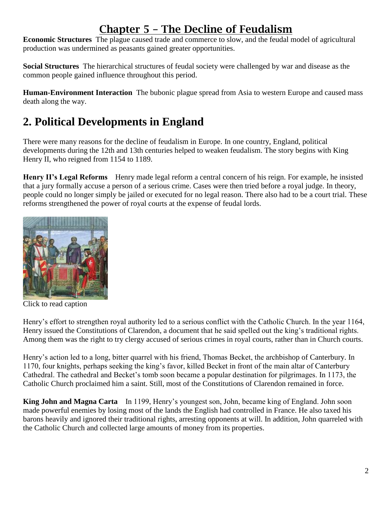**Economic Structures** The plague caused trade and commerce to slow, and the feudal model of agricultural production was undermined as peasants gained greater opportunities.

**Social Structures** The hierarchical structures of feudal society were challenged by war and disease as the common people gained influence throughout this period.

**Human-Environment Interaction** The bubonic plague spread from Asia to western Europe and caused mass death along the way.

# **2. Political Developments in England**

There were many reasons for the decline of feudalism in Europe. In one country, England, political developments during the 12th and 13th centuries helped to weaken feudalism. The story begins with King Henry II, who reigned from 1154 to 1189.

**Henry II's Legal Reforms** Henry made legal reform a central concern of his reign. For example, he insisted that a jury formally accuse a person of a serious crime. Cases were then tried before a royal judge. In theory, people could no longer simply be jailed or executed for no legal reason. There also had to be a court trial. These reforms strengthened the power of royal courts at the expense of feudal lords.



Click to read caption

Henry's effort to strengthen royal authority led to a serious conflict with the Catholic Church. In the year 1164, Henry issued the Constitutions of Clarendon, a document that he said spelled out the king's traditional rights. Among them was the right to try clergy accused of serious crimes in royal courts, rather than in Church courts.

Henry's action led to a long, bitter quarrel with his friend, Thomas Becket, the archbishop of Canterbury. In 1170, four knights, perhaps seeking the king's favor, killed Becket in front of the main altar of Canterbury Cathedral. The cathedral and Becket's tomb soon became a popular destination for pilgrimages. In 1173, the Catholic Church proclaimed him a saint. Still, most of the Constitutions of Clarendon remained in force.

**King John and Magna Carta** In 1199, Henry's youngest son, John, became king of England. John soon made powerful enemies by losing most of the lands the English had controlled in France. He also taxed his barons heavily and ignored their traditional rights, arresting opponents at will. In addition, John quarreled with the Catholic Church and collected large amounts of money from its properties.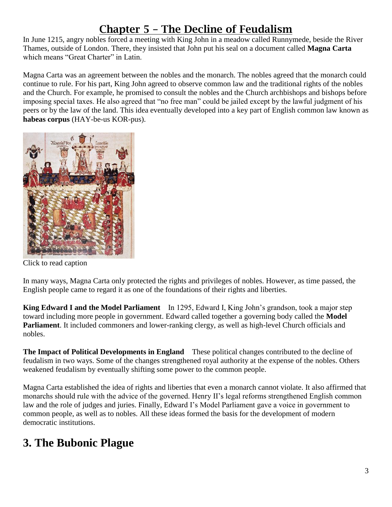In June 1215, angry nobles forced a meeting with King John in a meadow called Runnymede, beside the River Thames, outside of London. There, they insisted that John put his seal on a document called **Magna Carta** which means "Great Charter" in Latin.

Magna Carta was an agreement between the nobles and the monarch. The nobles agreed that the monarch could continue to rule. For his part, King John agreed to observe common law and the traditional rights of the nobles and the Church. For example, he promised to consult the nobles and the Church archbishops and bishops before imposing special taxes. He also agreed that "no free man" could be jailed except by the lawful judgment of his peers or by the law of the land. This idea eventually developed into a key part of English common law known as **habeas corpus** (HAY-be-us KOR-pus).



Click to read caption

In many ways, Magna Carta only protected the rights and privileges of nobles. However, as time passed, the English people came to regard it as one of the foundations of their rights and liberties.

**King Edward I and the Model Parliament** In 1295, Edward I, King John's grandson, took a major step toward including more people in government. Edward called together a governing body called the **Model Parliament**. It included commoners and lower-ranking clergy, as well as high-level Church officials and nobles.

**The Impact of Political Developments in England** These political changes contributed to the decline of feudalism in two ways. Some of the changes strengthened royal authority at the expense of the nobles. Others weakened feudalism by eventually shifting some power to the common people.

Magna Carta established the idea of rights and liberties that even a monarch cannot violate. It also affirmed that monarchs should rule with the advice of the governed. Henry II's legal reforms strengthened English common law and the role of judges and juries. Finally, Edward I's Model Parliament gave a voice in government to common people, as well as to nobles. All these ideas formed the basis for the development of modern democratic institutions.

### **3. The Bubonic Plague**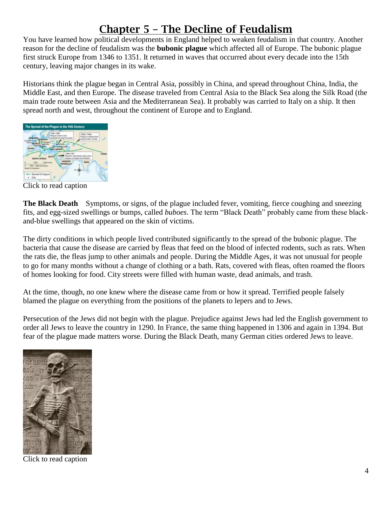You have learned how political developments in England helped to weaken feudalism in that country. Another reason for the decline of feudalism was the **bubonic plague** which affected all of Europe. The bubonic plague first struck Europe from 1346 to 1351. It returned in waves that occurred about every decade into the 15th century, leaving major changes in its wake.

Historians think the plague began in Central Asia, possibly in China, and spread throughout China, India, the Middle East, and then Europe. The disease traveled from Central Asia to the Black Sea along the Silk Road (the main trade route between Asia and the Mediterranean Sea). It probably was carried to Italy on a ship. It then spread north and west, throughout the continent of Europe and to England.



Click to read caption

**The Black Death** Symptoms, or signs, of the plague included fever, vomiting, fierce coughing and sneezing fits, and egg-sized swellings or bumps, called *buboes*. The term "Black Death" probably came from these blackand-blue swellings that appeared on the skin of victims.

The dirty conditions in which people lived contributed significantly to the spread of the bubonic plague. The bacteria that cause the disease are carried by fleas that feed on the blood of infected rodents, such as rats. When the rats die, the fleas jump to other animals and people. During the Middle Ages, it was not unusual for people to go for many months without a change of clothing or a bath. Rats, covered with fleas, often roamed the floors of homes looking for food. City streets were filled with human waste, dead animals, and trash.

At the time, though, no one knew where the disease came from or how it spread. Terrified people falsely blamed the plague on everything from the positions of the planets to lepers and to Jews.

Persecution of the Jews did not begin with the plague. Prejudice against Jews had led the English government to order all Jews to leave the country in 1290. In France, the same thing happened in 1306 and again in 1394. But fear of the plague made matters worse. During the Black Death, many German cities ordered Jews to leave.



Click to read caption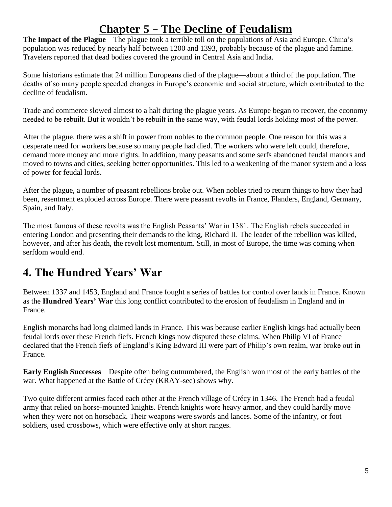**The Impact of the Plague** The plague took a terrible toll on the populations of Asia and Europe. China's population was reduced by nearly half between 1200 and 1393, probably because of the plague and famine. Travelers reported that dead bodies covered the ground in Central Asia and India.

Some historians estimate that 24 million Europeans died of the plague—about a third of the population. The deaths of so many people speeded changes in Europe's economic and social structure, which contributed to the decline of feudalism.

Trade and commerce slowed almost to a halt during the plague years. As Europe began to recover, the economy needed to be rebuilt. But it wouldn't be rebuilt in the same way, with feudal lords holding most of the power.

After the plague, there was a shift in power from nobles to the common people. One reason for this was a desperate need for workers because so many people had died. The workers who were left could, therefore, demand more money and more rights. In addition, many peasants and some serfs abandoned feudal manors and moved to towns and cities, seeking better opportunities. This led to a weakening of the manor system and a loss of power for feudal lords.

After the plague, a number of peasant rebellions broke out. When nobles tried to return things to how they had been, resentment exploded across Europe. There were peasant revolts in France, Flanders, England, Germany, Spain, and Italy.

The most famous of these revolts was the English Peasants' War in 1381. The English rebels succeeded in entering London and presenting their demands to the king, Richard II. The leader of the rebellion was killed, however, and after his death, the revolt lost momentum. Still, in most of Europe, the time was coming when serfdom would end.

# **4. The Hundred Years' War**

Between 1337 and 1453, England and France fought a series of battles for control over lands in France. Known as the **Hundred Years' War** this long conflict contributed to the erosion of feudalism in England and in France.

English monarchs had long claimed lands in France. This was because earlier English kings had actually been feudal lords over these French fiefs. French kings now disputed these claims. When Philip VI of France declared that the French fiefs of England's King Edward III were part of Philip's own realm, war broke out in France.

**Early English Successes** Despite often being outnumbered, the English won most of the early battles of the war. What happened at the Battle of Crécy (KRAY-see) shows why.

Two quite different armies faced each other at the French village of Crécy in 1346. The French had a feudal army that relied on horse-mounted knights. French knights wore heavy armor, and they could hardly move when they were not on horseback. Their weapons were swords and lances. Some of the infantry, or foot soldiers, used crossbows, which were effective only at short ranges.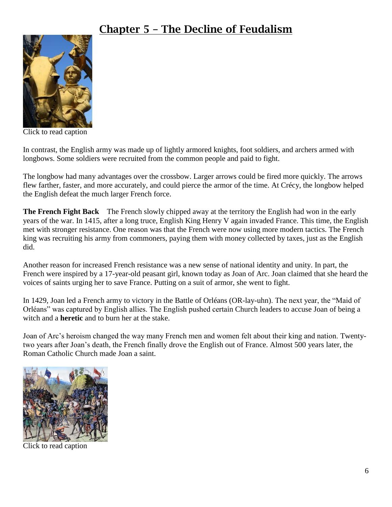

Click to read caption

In contrast, the English army was made up of lightly armored knights, foot soldiers, and archers armed with longbows. Some soldiers were recruited from the common people and paid to fight.

The longbow had many advantages over the crossbow. Larger arrows could be fired more quickly. The arrows flew farther, faster, and more accurately, and could pierce the armor of the time. At Crécy, the longbow helped the English defeat the much larger French force.

**The French Fight Back** The French slowly chipped away at the territory the English had won in the early years of the war. In 1415, after a long truce, English King Henry V again invaded France. This time, the English met with stronger resistance. One reason was that the French were now using more modern tactics. The French king was recruiting his army from commoners, paying them with money collected by taxes, just as the English did.

Another reason for increased French resistance was a new sense of national identity and unity. In part, the French were inspired by a 17-year-old peasant girl, known today as Joan of Arc. Joan claimed that she heard the voices of saints urging her to save France. Putting on a suit of armor, she went to fight.

In 1429, Joan led a French army to victory in the Battle of Orléans (OR-lay-uhn). The next year, the "Maid of Orléans" was captured by English allies. The English pushed certain Church leaders to accuse Joan of being a witch and a **heretic** and to burn her at the stake.

Joan of Arc's heroism changed the way many French men and women felt about their king and nation. Twentytwo years after Joan's death, the French finally drove the English out of France. Almost 500 years later, the Roman Catholic Church made Joan a saint.



Click to read caption